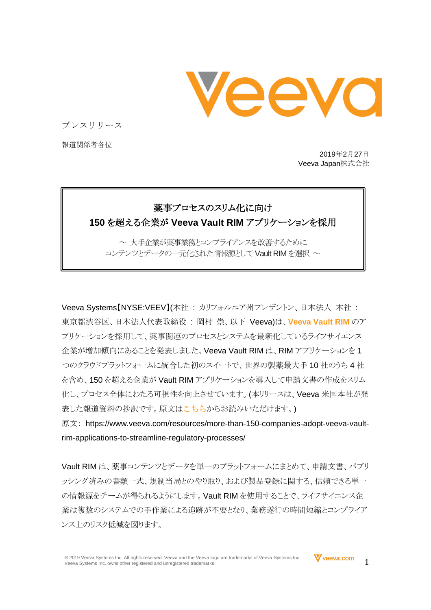veeva

プレスリリース

報道関係者各位

2019年2月27日 Veeva Japan株式会社

## 薬事プロセスのスリム化に向け **150** を超える企業が **Veeva Vault RIM** アプリケーションを採用

~ 大手企業が薬事業務とコンプライアンスを改善するために コンテンツとデータの一元化された情報源として Vault RIM を選択 ~

Veeva Systems【NYSE:VEEV】(本社 : カリフォルニア州プレザントン、日本法人 本社 : 東京都渋谷区、日本法人代表取締役 : 岡村 崇、以下 Veeva)は、**[Veeva Vault RIM](https://www.veeva.com/jp/products/vault-rim/)** のア プリケーションを採用して、薬事関連のプロセスとシステムを最新化しているライフサイエンス 企業が増加傾向にあることを発表しました。Veeva Vault RIM は、RIM アプリケーションを 1 つのクラウドプラットフォームに統合した初のスイートで、世界の製薬最大手 10 社のうち 4 社 を含め、150 を超える企業が Vault RIM アプリケーションを導入して申請文書の作成をスリム 化し、プロセス全体にわたる可視性を向上させています。(本リリースは、Veeva 米国本社が発 表した報道資料の抄訳です。原文は[こちら](https://www.veeva.com/resources/more-than-150-companies-adopt-veeva-vault-rim-applications-to-streamline-regulatory-processes/)からお読みいただけます。)

原文: https://www.veeva.com/resources/more-than-150-companies-adopt-veeva-vaultrim-applications-to-streamline-regulatory-processes/

Vault RIM は、薬事コンテンツとデータを単一のプラットフォームにまとめて、申請文書、パブリ ッシング済みの書類一式、規制当局とのやり取り、および製品登録に関する、信頼できる単一 の情報源をチームが得られるようにします。Vault RIM を使用することで、ライフサイエンス企 業は複数のシステムでの手作業による追跡が不要となり、業務遂行の時間短縮とコンプライア ンス上のリスク低減を図ります。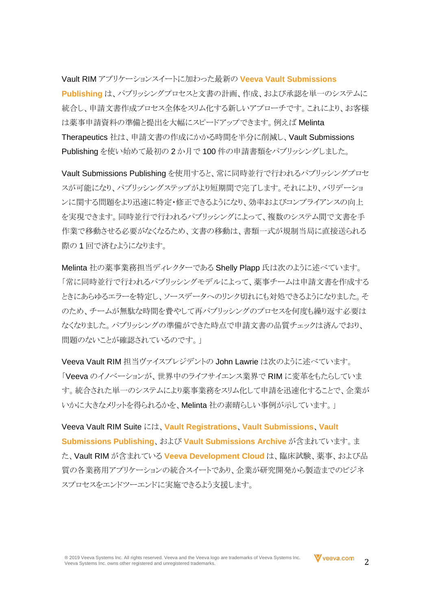Vault RIM アプリケーションスイートに加わった最新の **[Veeva Vault Submissions](https://www.veeva.com/jp/products/vault-submissions-publishing/)  [Publishing](https://www.veeva.com/jp/products/vault-submissions-publishing/)** は、パブリッシングプロセスと文書の計画、作成、および承認を単一のシステムに 統合し、申請文書作成プロセス全体をスリム化する新しいアプローチです。これにより、お客様 は薬事申請資料の準備と提出を大幅にスピードアップできます。例えば Melinta Therapeutics 社は、申請文書の作成にかかる時間を半分に削減し、Vault Submissions Publishing を使い始めて最初の 2 か月で 100 件の申請書類をパブリッシングしました。

Vault Submissions Publishing を使用すると、常に同時並行で行われるパブリッシングプロセ スが可能になり、パブリッシングステップがより短期間で完了します。それにより、バリデーショ ンに関する問題をより迅速に特定・修正できるようになり、効率およびコンプライアンスの向上 を実現できます。同時並行で行われるパブリッシングによって、複数のシステム間で文書を手 作業で移動させる必要がなくなるため、文書の移動は、書類一式が規制当局に直接送られる 際の1回で済むようになります。

Melinta 社の薬事業務担当ディレクターである Shelly Plapp 氏は次のように述べています。 「常に同時並行で行われるパブリッシングモデルによって、薬事チームは申請文書を作成する ときにあらゆるエラーを特定し、ソースデータへのリンク切れにも対処できるようになりました。そ のため、チームが無駄な時間を費やして再パブリッシングのプロセスを何度も繰り返す必要は なくなりました。パブリッシングの準備ができた時点で申請文書の品質チェックは済んでおり、 問題のないことが確認されているのです。

Veeva Vault RIM 担当ヴァイスプレジデントの John Lawrie は次のように述べています。 「Veeva のイノベーションが、世界中のライフサイエンス業界で RIM に変革をもたらしていま す。統合された単一のシステムにより薬事業務をスリム化して申請を迅速化することで、企業が いかに大きなメリットを得られるかを、Melinta 社の素晴らしい事例が示しています。」

Veeva Vault RIM Suite には、**[Vault Registrations](https://www.veeva.com/jp/products/vault-registrations/)**、**[Vault Submissions](https://www.veeva.com/jp/products/vault-submissions/)**、**[Vault](https://www.veeva.com/jp/products/vault-submissions-publishing/)  [Submissions Publishing](https://www.veeva.com/jp/products/vault-submissions-publishing/)**、および **[Vault Submissions Archive](https://www.veeva.com/jp/products/vault-submissions-archive/)** が含まれています。ま た、Vault RIM が含まれている **[Veeva Development Cloud](https://www.veeva.com/jp/products/development-cloud/)** は、臨床試験、薬事、および品 質の各業務用アプリケーションの統合スイートであり、企業が研究開発から製造までのビジネ スプロセスをエンドツーエンドに実施できるよう支援します。

2